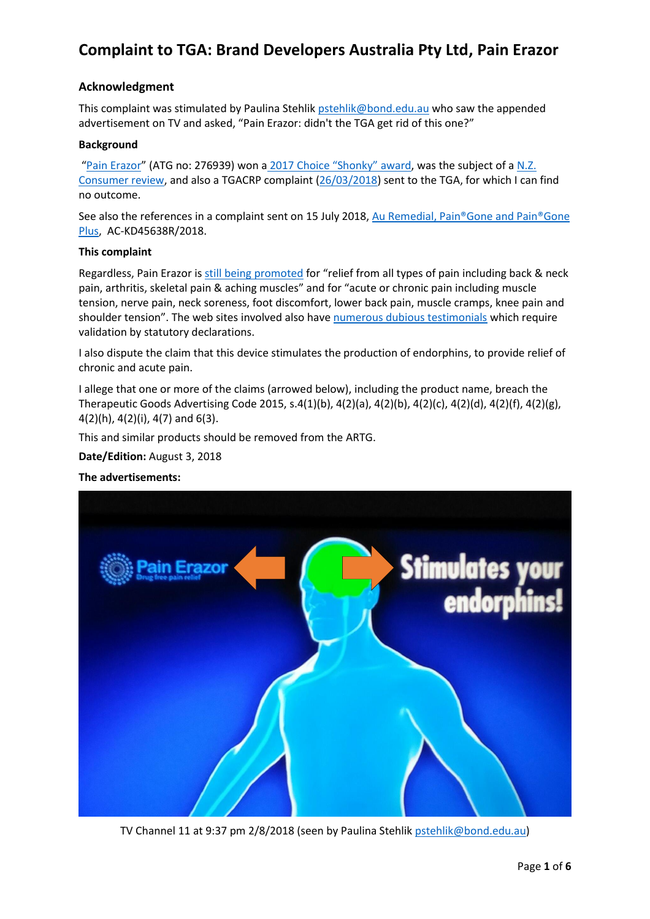### **Acknowledgment**

This complaint was stimulated by Paulina Stehlik [pstehlik@bond.edu.au](mailto:pstehlik@bond.edu.au) who saw the appended advertisement on TV and asked, "Pain Erazor: didn't the TGA get rid of this one?"

### **Background**

"[Pain Erazor](https://painerazor.com.au/)" (ATG no: 276939) won a [2017 Choice "Shonky"](https://www.choice.com.au/shonky-awards/hall-of-shame/shonkys-2017/pain-erazor) award, was the subject of a [N.Z.](https://www.consumer.org.nz/articles/pain-erazor-claims)  [Consumer review,](https://www.consumer.org.nz/articles/pain-erazor-claims) and also a TGACRP complaint [\(26/03/2018\)](http://www.tgacrp.com.au/withdrawn-complaints/?_search=Erazor&_id=3310) sent to the TGA, for which I can find no outcome.

See also the references in a complaint sent on 15 July 2018, Au Remedial, Pain®Gone and Pain®Gone [Plus,](http://www.medreach.com.au/wp-content/uploads/2018/07/Complaint-to-TGA-Pain%C2%AEGone-and-Pain%C2%AEGone-Plus.pdf) AC-KD45638R/2018.

### **This complaint**

Regardless, Pain Erazor i[s still being promoted](https://painerazor.com.au/) for "relief from all types of pain including back & neck pain, arthritis, skeletal pain & aching muscles" and for "acute or chronic pain including muscle tension, nerve pain, neck soreness, foot discomfort, lower back pain, muscle cramps, knee pain and shoulder tension". The web sites involved also have [numerous dubious testimonials](https://painerazor.com.au/#reviews) which require validation by statutory declarations.

I also dispute the claim that this device stimulates the production of endorphins, to provide relief of chronic and acute pain.

I allege that one or more of the claims (arrowed below), including the product name, breach the Therapeutic Goods Advertising Code 2015, s.4(1)(b), 4(2)(a), 4(2)(b), 4(2)(c), 4(2)(d), 4(2)(f), 4(2)(g), 4(2)(h), 4(2)(i), 4(7) and 6(3).

This and similar products should be removed from the ARTG.

**Date/Edition:** August 3, 2018

### **The advertisements:**



TV Channel 11 at 9:37 pm 2/8/2018 (seen by Paulina Stehlik [pstehlik@bond.edu.au\)](mailto:pstehlik@bond.edu.au)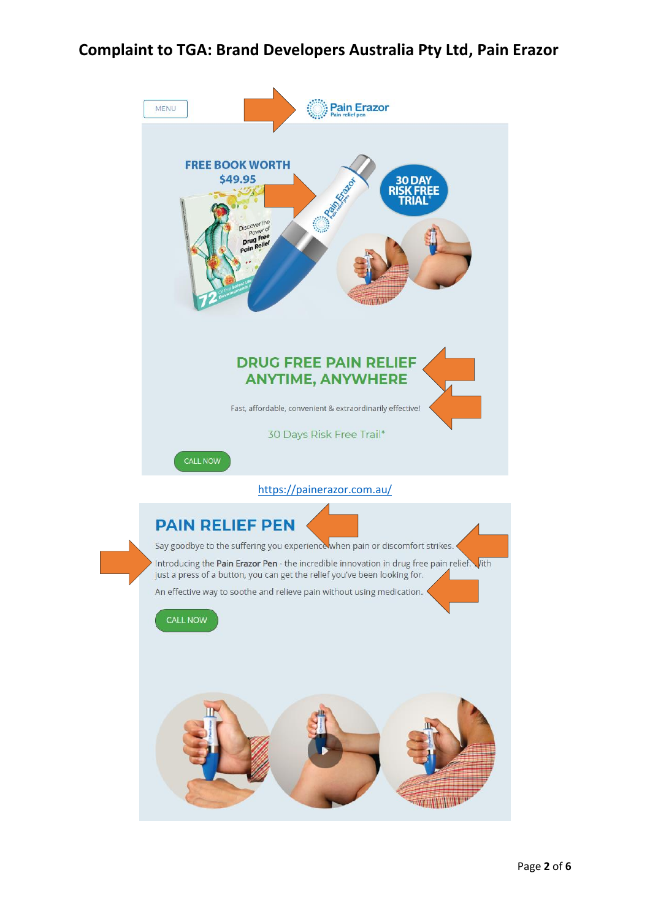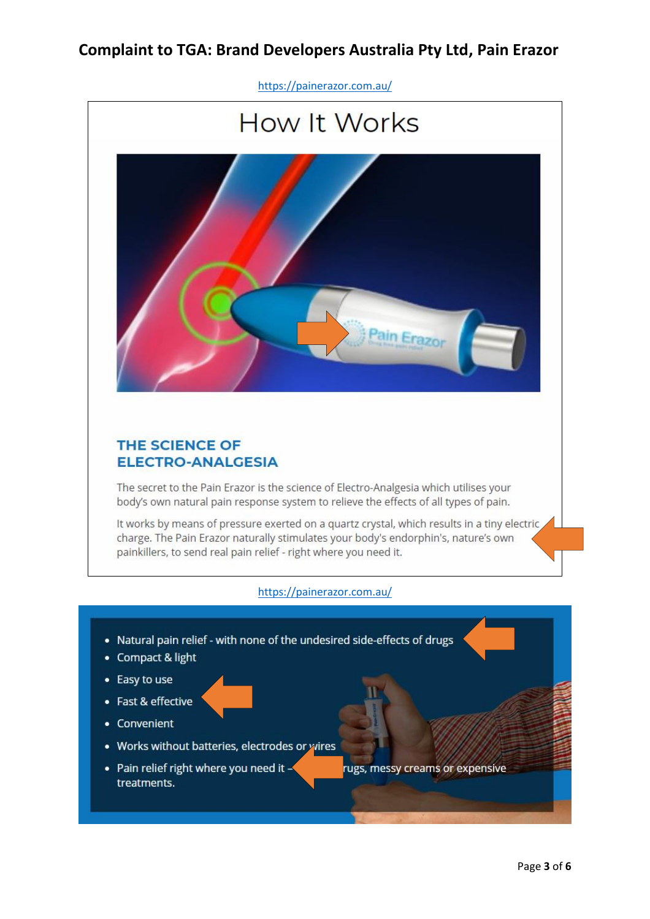

- Easy to use
- Fast & effective
- Convenient
- Works without batteries, electrodes or wires
- Pain relief right where you need it treatments.
- rugs, messy creams or expensive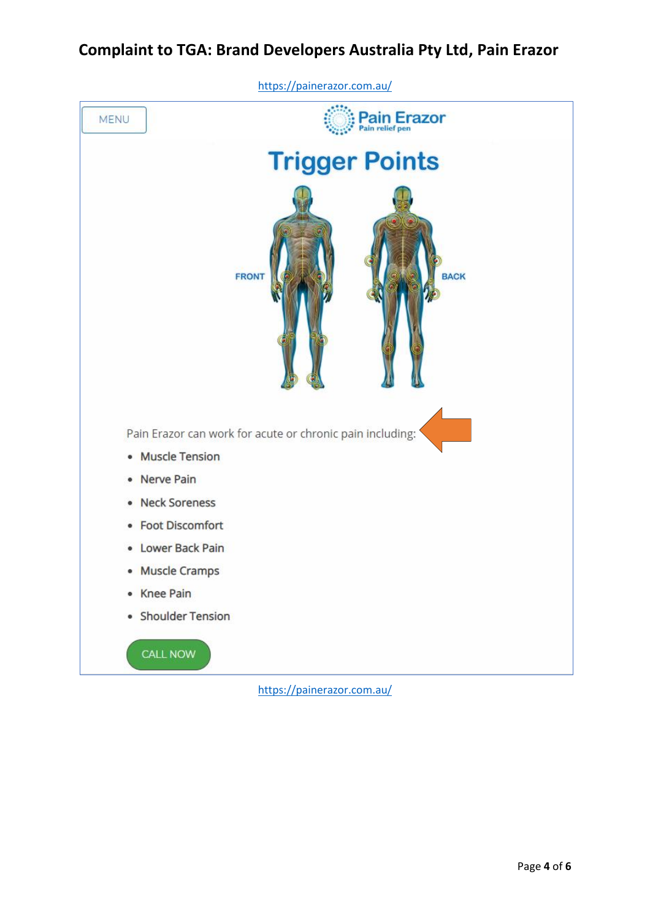

<https://painerazor.com.au/>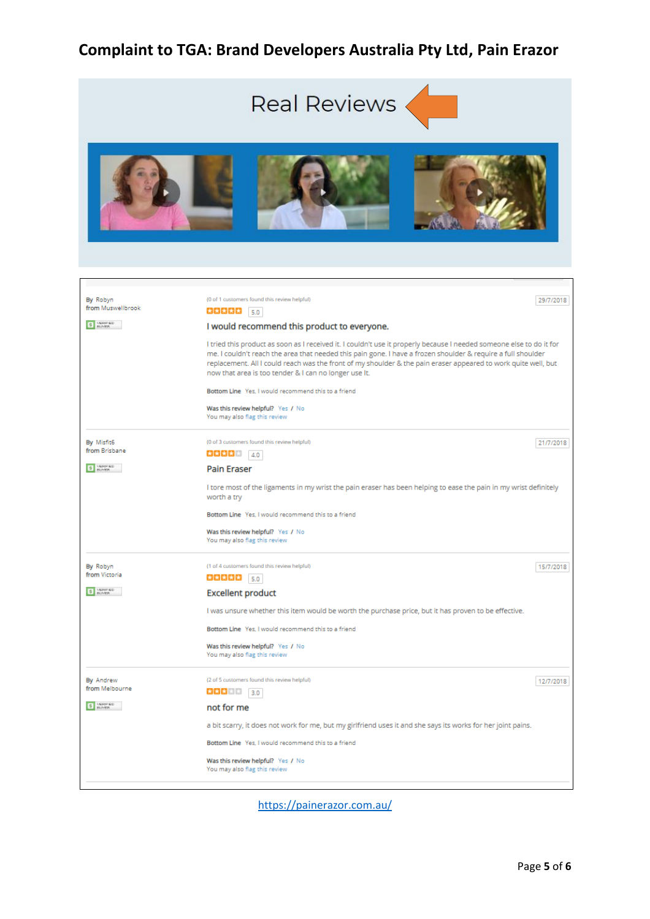

<https://painerazor.com.au/>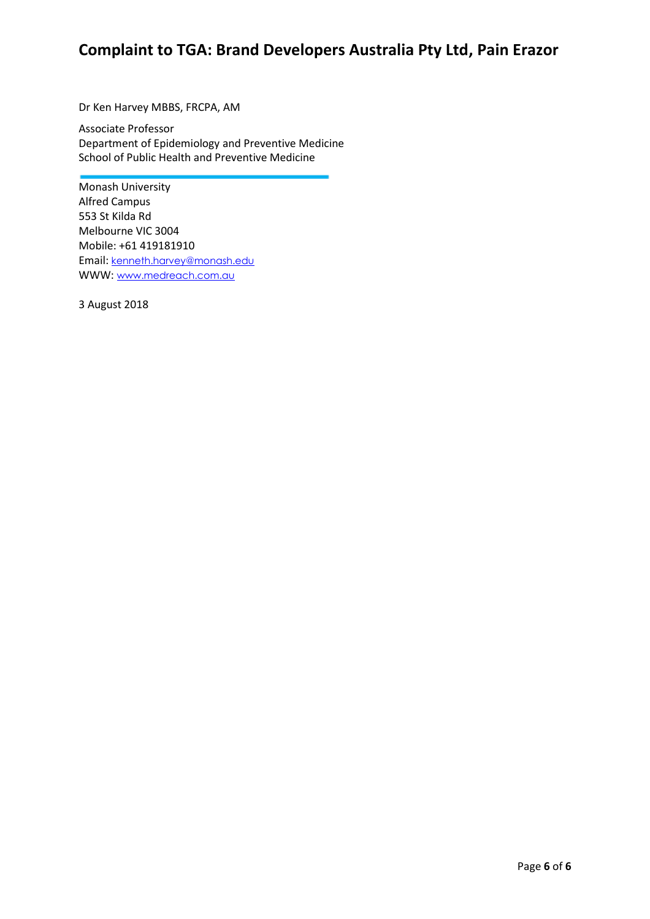Dr Ken Harvey MBBS, FRCPA, AM

Associate Professor Department of Epidemiology and Preventive Medicine School of Public Health and Preventive Medicine

Monash University Alfred Campus 553 St Kilda Rd Melbourne VIC 3004 Mobile: +61 419181910 Email: [kenneth.harvey@monash.edu](mailto:kenneth.harvey@monash.edu) WWW: [www.medreach.com.au](http://www.medreach.com.au/)

3 August 2018